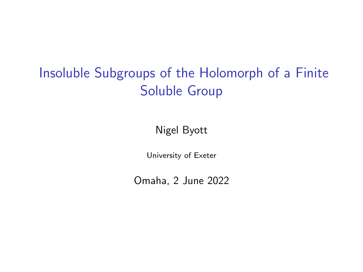# <span id="page-0-0"></span>Insoluble Subgroups of the Holomorph of a Finite Soluble Group

Nigel Byott

University of Exeter

Omaha, 2 June 2022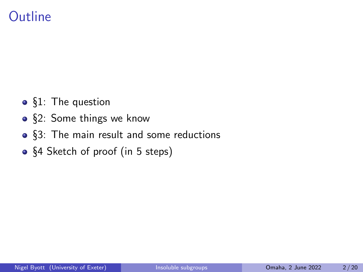### **Outline**

- §1: The question
- §2: Some things we know
- §3: The main result and some reductions
- §4 Sketch of proof (in 5 steps)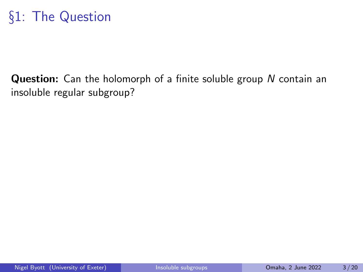#### Question: Can the holomorph of a finite soluble group N contain an insoluble regular subgroup?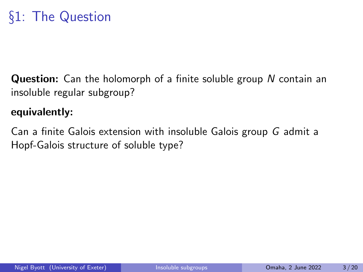**Question:** Can the holomorph of a finite soluble group N contain an insoluble regular subgroup?

#### equivalently:

Can a finite Galois extension with insoluble Galois group G admit a Hopf-Galois structure of soluble type?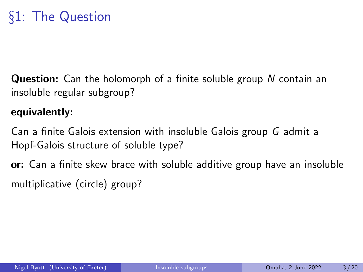**Question:** Can the holomorph of a finite soluble group N contain an insoluble regular subgroup?

#### equivalently:

Can a finite Galois extension with insoluble Galois group G admit a Hopf-Galois structure of soluble type?

or: Can a finite skew brace with soluble additive group have an insoluble multiplicative (circle) group?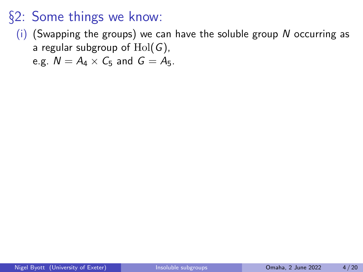(i) (Swapping the groups) we can have the soluble group  $N$  occurring as a regular subgroup of  $Hol(G)$ ,

e.g.  $N = A_4 \times C_5$  and  $G = A_5$ .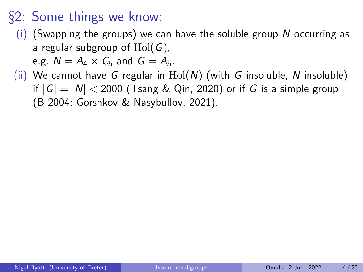- (i) (Swapping the groups) we can have the soluble group  $N$  occurring as a regular subgroup of  $Hol(G)$ , e.g.  $N = A_4 \times C_5$  and  $G = A_5$ .
- (ii) We cannot have G regular in  $Hol(N)$  (with G insoluble, N insoluble) if  $|G| = |N| < 2000$  (Tsang & Qin, 2020) or if G is a simple group (B 2004; Gorshkov & Nasybullov, 2021).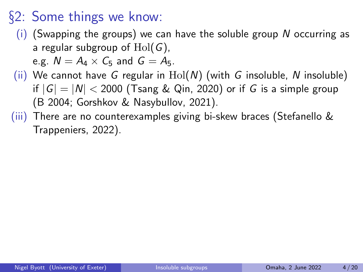(i) (Swapping the groups) we can have the soluble group  $N$  occurring as a regular subgroup of  $Hol(G)$ ,

e.g.  $N = A_4 \times C_5$  and  $G = A_5$ .

- (ii) We cannot have G regular in  $Hol(N)$  (with G insoluble, N insoluble) if  $|G| = |N| < 2000$  (Tsang & Qin, 2020) or if G is a simple group (B 2004; Gorshkov & Nasybullov, 2021).
- (iii) There are no counterexamples giving bi-skew braces (Stefanello & Trappeniers, 2022).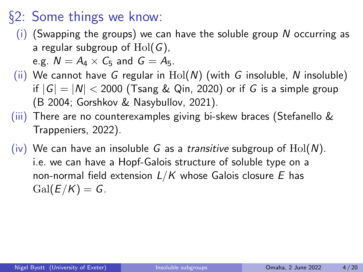- (i) (Swapping the groups) we can have the soluble group  $N$  occurring as a regular subgroup of  $Hol(G)$ , e.g.  $N = A_4 \times C_5$  and  $G = A_5$ .
- (ii) We cannot have G regular in  $Hol(N)$  (with G insoluble, N insoluble) if  $|G| = |N| < 2000$  (Tsang & Qin, 2020) or if G is a simple group (B 2004; Gorshkov & Nasybullov, 2021).
- (iii) There are no counterexamples giving bi-skew braces (Stefanello & Trappeniers, 2022).
- (iv) We can have an insoluble G as a *transitive* subgroup of  $Hol(N)$ . i.e. we can have a Hopf-Galois structure of soluble type on a non-normal field extension  $L/K$  whose Galois closure E has  $Gal(E/K) = G$ .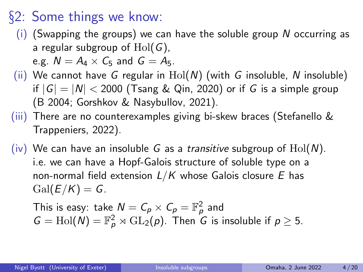- (i) (Swapping the groups) we can have the soluble group  $N$  occurring as a regular subgroup of  $Hol(G)$ , e.g.  $N = A_4 \times C_5$  and  $G = A_5$ .
- (ii) We cannot have G regular in  $Hol(N)$  (with G insoluble, N insoluble) if  $|G| = |N| < 2000$  (Tsang & Qin, 2020) or if G is a simple group (B 2004; Gorshkov & Nasybullov, 2021).
- (iii) There are no counterexamples giving bi-skew braces (Stefanello & Trappeniers, 2022).
- (iv) We can have an insoluble G as a *transitive* subgroup of  $Hol(N)$ . i.e. we can have a Hopf-Galois structure of soluble type on a non-normal field extension  $L/K$  whose Galois closure E has  $Gal(E/K) = G$ .

This is easy: take 
$$
N = C_p \times C_p = \mathbb{F}_p^2
$$
 and  
\n $G = Hol(N) = \mathbb{F}_p^2 \rtimes GL_2(p)$ . Then G is insoluble if  $p \ge 5$ .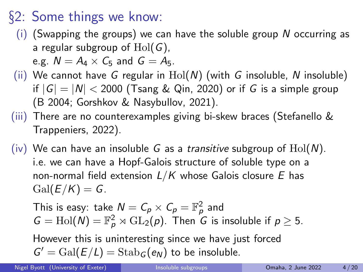- $(i)$  (Swapping the groups) we can have the soluble group N occurring as a regular subgroup of  $Hol(G)$ , e.g.  $N = A_4 \times C_5$  and  $G = A_5$ .
- (ii) We cannot have G regular in  $Hol(N)$  (with G insoluble, N insoluble) if  $|G| = |N| < 2000$  (Tsang & Qin, 2020) or if G is a simple group (B 2004; Gorshkov & Nasybullov, 2021).
- (iii) There are no counterexamples giving bi-skew braces (Stefanello & Trappeniers, 2022).
- (iv) We can have an insoluble G as a *transitive* subgroup of  $Hol(N)$ . i.e. we can have a Hopf-Galois structure of soluble type on a non-normal field extension  $L/K$  whose Galois closure E has  $Gal(E/K) = G$ .

This is easy: take  $N = C_{\rho} \times C_{\rho} = \mathbb{F}_{\rho}^2$  and  $G = Hol(N) = \mathbb{F}_p^2 \rtimes GL_2(p)$ . Then G is insoluble if  $p \ge 5$ .

However this is uninteresting since we have just forced  $G' = \text{Gal}(E/L) = \text{Stab}_G(e_N)$  to be insoluble.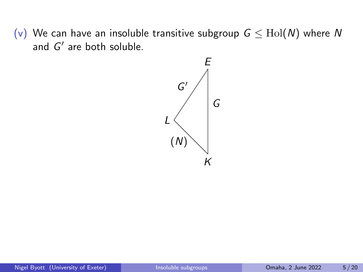(v) We can have an insoluble transitive subgroup  $G \leq Hol(N)$  where N and  $G'$  are both soluble.

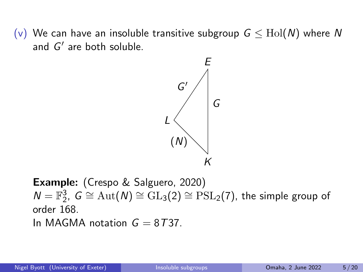(v) We can have an insoluble transitive subgroup  $G \leq Hol(N)$  where N and  $G'$  are both soluble.



Example: (Crespo & Salguero, 2020)  $N = \mathbb{F}_2^3$ ,  $G \cong \text{Aut}(N) \cong \text{GL}_3(2) \cong \text{PSL}_2(7)$ , the simple group of order 168. In MAGMA notation  $G = 8T37$ .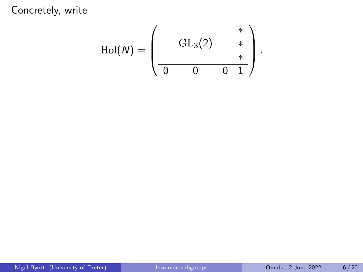$$
\mathrm{Hol}(N)=\left(\begin{array}{cc|cc} & & * & * \\ & & \mathrm{GL}_3(2) & * & * \\ \hline 0 & 0 & 0 & 1 \end{array}\right).
$$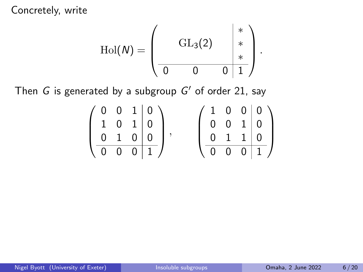$$
\mathrm{Hol}(\mathcal{N}) = \left(\begin{array}{cc|cc} & & * & * \\ & & \mathrm{GL}_3(2) & * & * \\ \hline 0 & 0 & 0 & 1 \end{array}\right).
$$

Then  $G$  is generated by a subgroup  $G'$  of order 21, say

|  |                            | $0 \t0 \t1 \t0 \t$ |  |                            | ' 1 0 0 0 0                |
|--|----------------------------|--------------------|--|----------------------------|----------------------------|
|  | $1 \quad 0 \quad 1 \mid 0$ |                    |  |                            | $0 \quad 0 \quad 1 \mid 0$ |
|  | $0 \quad 1 \quad 0 \mid 0$ |                    |  | $0 \quad 1 \quad 1 \mid 0$ |                            |
|  |                            |                    |  |                            |                            |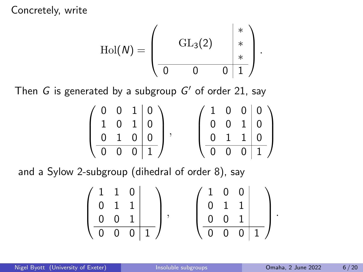$$
\mathrm{Hol}(\mathcal{N}) = \left(\begin{array}{cc|cc} & & * & * \\ & & \mathrm{GL}_3(2) & * & * \\ \hline 0 & 0 & 0 & 1 \end{array}\right).
$$

Then  $G$  is generated by a subgroup  $G'$  of order 21, say

|  |                            | $0 \t0 \t1 0 \t$ |  |           |                            | (1 0 0 0)                   |
|--|----------------------------|------------------|--|-----------|----------------------------|-----------------------------|
|  | $1 \quad 0 \quad 1 \mid 0$ |                  |  |           | $0 \quad 0 \quad 1 \mid 0$ |                             |
|  | $1 \quad 0 \mid 0$         |                  |  | $0\quad1$ | $1 \mid 0$                 |                             |
|  |                            | $0 \t0 \t0 \t1$  |  |           |                            | $0 \quad 0 \quad 0 \quad 1$ |

and a Sylow 2-subgroup (dihedral of order 8), say

$$
\left(\begin{array}{cc|c}1 & 1 & 0 & \\0 & 1 & 1 & \\0 & 0 & 1 & \\ \hline 0 & 0 & 0 & 1\end{array}\right), \quad \left(\begin{array}{cc|c}1 & 0 & 0 & \\0 & 1 & 1 & \\0 & 0 & 1 & \\ \hline 0 & 0 & 0 & 1\end{array}\right).
$$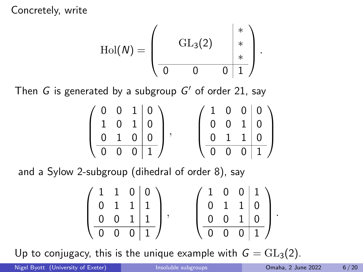$$
\mathrm{Hol}(\mathcal{N}) = \left(\begin{array}{cc|cc} & & * & * \\ & & \mathrm{GL}_3(2) & * & * \\ \hline 0 & 0 & 0 & 1 \end{array}\right).
$$

Then  $G$  is generated by a subgroup  $G'$  of order 21, say

|  |                            | $0 \t0 \t1 0 \t$ |  |           |                            | (1 0 0 0)                   |
|--|----------------------------|------------------|--|-----------|----------------------------|-----------------------------|
|  | $1 \quad 0 \quad 1 \mid 0$ |                  |  |           | $0 \quad 0 \quad 1 \mid 0$ |                             |
|  | $1 \quad 0 \mid 0$         |                  |  | $0\quad1$ | $1 \mid 0$                 |                             |
|  |                            | $0 \t0 \t0 \t1$  |  |           |                            | $0 \quad 0 \quad 0 \quad 1$ |

and a Sylow 2-subgroup (dihedral of order 8), say

$$
\left(\begin{array}{cc|cc} 1 & 1 & 0 & 0 \\ 0 & 1 & 1 & 1 \\ 0 & 0 & 1 & 1 \\ \hline 0 & 0 & 0 & 1 \end{array}\right), \quad \left(\begin{array}{cc|cc} 1 & 0 & 0 & 1 \\ 0 & 1 & 1 & 0 \\ 0 & 0 & 1 & 0 \\ \hline 0 & 0 & 0 & 1 \end{array}\right).
$$

Up to conjugacy, this is the unique example with  $G = GL_3(2)$ .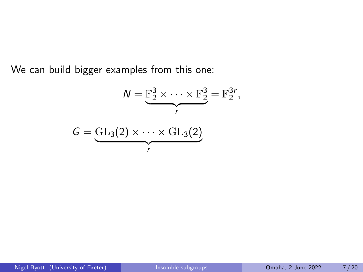We can build bigger examples from this one:

$$
N = \underbrace{\mathbb{F}_2^3 \times \cdots \times \mathbb{F}_2^3}_{r} = \mathbb{F}_2^{3r},
$$
  

$$
G = \underbrace{GL_3(2) \times \cdots \times GL_3(2)}_{r}
$$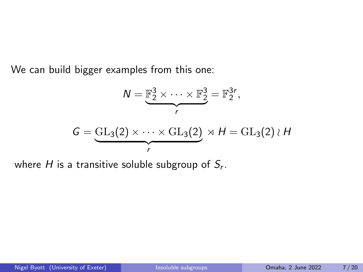We can build bigger examples from this one:

$$
N = \underbrace{\mathbb{F}_2^3 \times \cdots \times \mathbb{F}_2^3}_{r} = \mathbb{F}_2^{3r},
$$
  

$$
G = \underbrace{GL_3(2) \times \cdots \times GL_3(2)}_{r} \rtimes H = GL_3(2) \wr H
$$

where  $H$  is a transitive soluble subgroup of  $\mathcal{S}_r$ .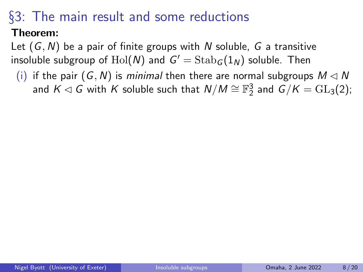#### Theorem:

Let  $(G, N)$  be a pair of finite groups with N soluble, G a transitive insoluble subgroup of  $\mathrm{Hol}(\mathcal{N})$  and  $\mathcal{G}'=\mathrm{Stab}_\mathcal{G}(1_\mathcal{N})$  soluble. Then

(i) if the pair  $(G, N)$  is minimal then there are normal subgroups  $M \lhd N$ and  $K \lhd G$  with  $K$  soluble such that  $\mathcal{N}/M \cong \mathbb{F}_2^3$  and  $\mathcal{G}/K = \mathrm{GL}_3(2);$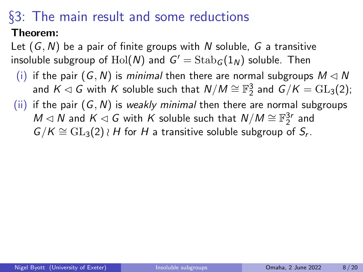#### Theorem:

Let  $(G, N)$  be a pair of finite groups with N soluble, G a transitive insoluble subgroup of  $\mathrm{Hol}(\mathcal{N})$  and  $\mathcal{G}'=\mathrm{Stab}_\mathcal{G}(1_\mathcal{N})$  soluble. Then

- (i) if the pair  $(G, N)$  is minimal then there are normal subgroups  $M \lhd N$ and  $K \lhd G$  with  $K$  soluble such that  $\mathcal{N}/M \cong \mathbb{F}_2^3$  and  $\mathcal{G}/K = \mathrm{GL}_3(2);$
- (ii) if the pair  $(G, N)$  is weakly minimal then there are normal subgroups  $M \lhd N$  and  $K \lhd G$  with  $K$  soluble such that  $N/M \cong \mathbb{F}_2^{3r}$  and  $G/K \cong \mathrm{GL}_3(2) \wr H$  for H a transitive soluble subgroup of  $S_r$ .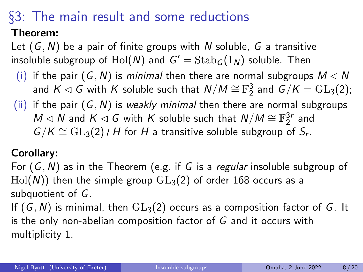#### Theorem:

Let  $(G, N)$  be a pair of finite groups with N soluble, G a transitive insoluble subgroup of  $\mathrm{Hol}(\mathcal{N})$  and  $\mathcal{G}'=\mathrm{Stab}_\mathcal{G}(1_\mathcal{N})$  soluble. Then

- (i) if the pair  $(G, N)$  is minimal then there are normal subgroups  $M \lhd N$ and  $K \lhd G$  with  $K$  soluble such that  $\mathcal{N}/M \cong \mathbb{F}_2^3$  and  $\mathcal{G}/K = \mathrm{GL}_3(2);$
- (ii) if the pair  $(G, N)$  is weakly minimal then there are normal subgroups  $M \lhd N$  and  $K \lhd G$  with  $K$  soluble such that  $N/M \cong \mathbb{F}_2^{3r}$  and  $G/K \cong \mathrm{GL}_3(2) \wr H$  for H a transitive soluble subgroup of  $S_r$ .

#### Corollary:

For  $(G, N)$  as in the Theorem (e.g. if G is a *regular* insoluble subgroup of  $Hol(N)$ ) then the simple group  $GL_3(2)$  of order 168 occurs as a subquotient of G.

If  $(G, N)$  is minimal, then  $GL_3(2)$  occurs as a composition factor of G. It is the only non-abelian composition factor of G and it occurs with multiplicity 1.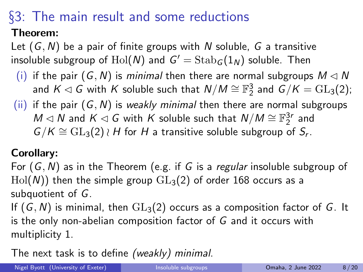#### Theorem:

Let  $(G, N)$  be a pair of finite groups with N soluble, G a transitive insoluble subgroup of  $\mathrm{Hol}(\mathcal{N})$  and  $\mathcal{G}'=\mathrm{Stab}_\mathcal{G}(1_\mathcal{N})$  soluble. Then

- (i) if the pair  $(G, N)$  is minimal then there are normal subgroups  $M \lhd N$ and  $K \lhd G$  with  $K$  soluble such that  $\mathcal{N}/M \cong \mathbb{F}_2^3$  and  $\mathcal{G}/K = \mathrm{GL}_3(2);$
- (ii) if the pair  $(G, N)$  is weakly minimal then there are normal subgroups  $M \lhd N$  and  $K \lhd G$  with  $K$  soluble such that  $N/M \cong \mathbb{F}_2^{3r}$  and  $G/K \cong \mathrm{GL}_3(2) \wr H$  for H a transitive soluble subgroup of  $S_r$ .

#### Corollary:

For  $(G, N)$  as in the Theorem (e.g. if G is a *regular* insoluble subgroup of  $Hol(N)$ ) then the simple group  $GL_3(2)$  of order 168 occurs as a subquotient of G.

If  $(G, N)$  is minimal, then  $GL_3(2)$  occurs as a composition factor of G. It is the only non-abelian composition factor of G and it occurs with multiplicity 1.

The next task is to define (weakly) minimal.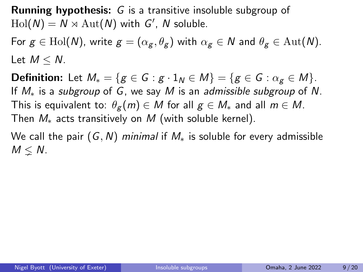Running hypothesis: G is a transitive insoluble subgroup of  $\text{Hol}(N) = N \rtimes \text{Aut}(N)$  with  $G'$ , N soluble.

For  $g \in Hol(N)$ , write  $g = (\alpha_g, \theta_g)$  with  $\alpha_g \in N$  and  $\theta_g \in Aut(N)$ . Let  $M < N$ .

**Definition:** Let  $M_* = \{g \in G : g \cdot 1_N \in M\} = \{g \in G : \alpha_g \in M\}.$ If  $M_*$  is a subgroup of G, we say M is an admissible subgroup of N. This is equivalent to:  $\theta_{g}(m) \in M$  for all  $g \in M_{*}$  and all  $m \in M$ . Then  $M_*$  acts transitively on M (with soluble kernel).

We call the pair  $(G, N)$  minimal if  $M_*$  is soluble for every admissible  $M \leq N$ .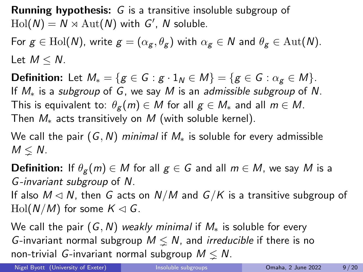Running hypothesis: G is a transitive insoluble subgroup of  $\text{Hol}(N) = N \rtimes \text{Aut}(N)$  with  $G'$ , N soluble.

For  $g \in Hol(N)$ , write  $g = (\alpha_g, \theta_g)$  with  $\alpha_g \in N$  and  $\theta_g \in Aut(N)$ . Let  $M < N$ .

**Definition:** Let  $M_* = \{g \in G : g \cdot 1_N \in M\} = \{g \in G : \alpha_g \in M\}.$ If  $M_*$  is a subgroup of G, we say M is an admissible subgroup of N. This is equivalent to:  $\theta_{g}(m) \in M$  for all  $g \in M_{*}$  and all  $m \in M$ . Then  $M_*$  acts transitively on  $M$  (with soluble kernel).

We call the pair  $(G, N)$  minimal if  $M_*$  is soluble for every admissible  $M \leq N$ .

**Definition:** If  $\theta_{g}(m) \in M$  for all  $g \in G$  and all  $m \in M$ , we say M is a G-invariant subgroup of N.

If also  $M \triangleleft N$ , then G acts on  $N/M$  and  $G/K$  is a transitive subgroup of  $\text{Hol}(N/M)$  for some  $K \lhd G$ .

We call the pair  $(G, N)$  weakly minimal if  $M_*$  is soluble for every G-invariant normal subgroup  $M \leq N$ , and *irreducible* if there is no non-trivial G-invariant normal subgroup  $M \leq N$ .

Nigel Byott (University of Exeter) [Insoluble subgroups](#page-0-0) **Omaha, 2 June 2022** 9/20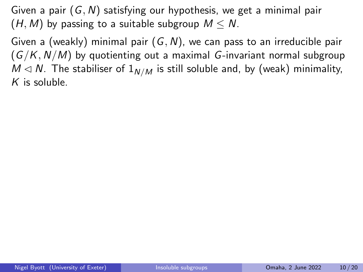Given a (weakly) minimal pair  $(G, N)$ , we can pass to an irreducible pair  $(G/K, N/M)$  by quotienting out a maximal G-invariant normal subgroup  $M \triangleleft N$ . The stabiliser of  $1_{N/M}$  is still soluble and, by (weak) minimality,  $K$  is soluble.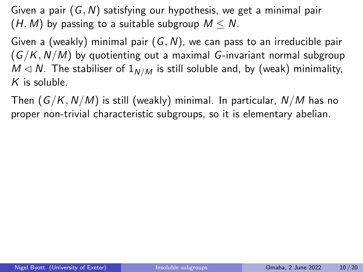Given a (weakly) minimal pair  $(G, N)$ , we can pass to an irreducible pair  $(G/K, N/M)$  by quotienting out a maximal G-invariant normal subgroup  $M \triangleleft N$ . The stabiliser of  $1_{N/M}$  is still soluble and, by (weak) minimality,  $K$  is soluble.

Then  $(G/K, N/M)$  is still (weakly) minimal. In particular,  $N/M$  has no proper non-trivial characteristic subgroups, so it is elementary abelian.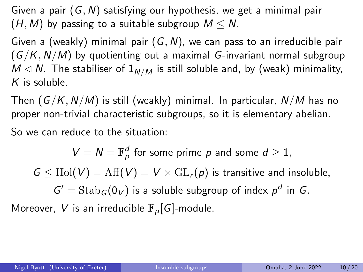Given a (weakly) minimal pair  $(G, N)$ , we can pass to an irreducible pair  $(G/K, N/M)$  by quotienting out a maximal G-invariant normal subgroup  $M \triangleleft N$ . The stabiliser of  $1_{N/M}$  is still soluble and, by (weak) minimality,  $K$  is soluble.

Then  $(G/K, N/M)$  is still (weakly) minimal. In particular,  $N/M$  has no proper non-trivial characteristic subgroups, so it is elementary abelian.

So we can reduce to the situation:

 $V = N = \mathbb{F}_p^d$  for some prime p and some  $d \geq 1$ ,  $G \leq Hol(V) = Aff(V) = V \rtimes GL_r(p)$  is transitive and insoluble,  $G' = \operatorname{Stab}_G(0_V)$  is a soluble subgroup of index  $p^d$  in G. Moreover, V is an irreducible  $\mathbb{F}_p[G]$ -module.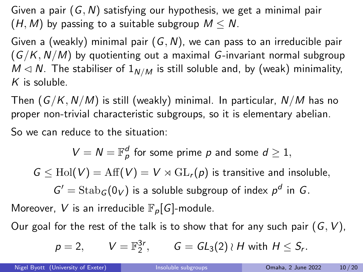Given a (weakly) minimal pair  $(G, N)$ , we can pass to an irreducible pair  $(G/K, N/M)$  by quotienting out a maximal G-invariant normal subgroup  $M \triangleleft N$ . The stabiliser of  $1_{N/M}$  is still soluble and, by (weak) minimality,  $K$  is soluble.

Then  $(G/K, N/M)$  is still (weakly) minimal. In particular,  $N/M$  has no proper non-trivial characteristic subgroups, so it is elementary abelian.

So we can reduce to the situation:

$$
V = N = \mathbb{F}_p^d
$$
 for some prime *p* and some  $d \ge 1$ ,  

$$
G \le \text{Hol}(V) = \text{Aff}(V) = V \rtimes \text{GL}_r(p)
$$
 is transitive and insoluble,  

$$
G' = \text{Stab}_G(0_V)
$$
 is a soluble subgroup of index  $p^d$  in *G*.  
Moreover, *V* is an irreducible  $\mathbb{F}_p[G]$ -module.

Our goal for the rest of the talk is to show that for any such pair  $(G, V)$ ,

$$
p = 2
$$
,  $V = \mathbb{F}_2^{3r}$ ,  $G = GL_3(2) \wr H$  with  $H \leq S_r$ .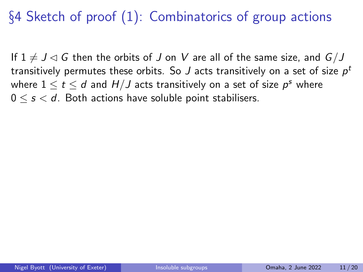§4 Sketch of proof (1): Combinatorics of group actions

If  $1 \neq J \lhd G$  then the orbits of J on V are all of the same size, and  $G/J$ transitively permutes these orbits. So  $J$  acts transitively on a set of size  $\rho^t$ where  $1\leq t\leq d$  and  $H/J$  acts transitively on a set of size  $\rho^s$  where  $0 \leq s \leq d$ . Both actions have soluble point stabilisers.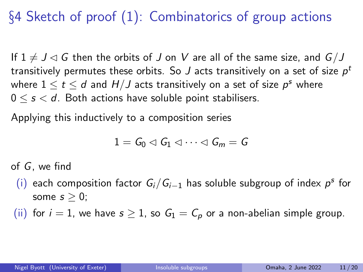# §4 Sketch of proof (1): Combinatorics of group actions

If  $1 \neq J \lhd G$  then the orbits of J on V are all of the same size, and  $G/J$ transitively permutes these orbits. So  $J$  acts transitively on a set of size  $\rho^t$ where  $1\leq t\leq d$  and  $H/J$  acts transitively on a set of size  $\rho^s$  where  $0 \leq s \leq d$ . Both actions have soluble point stabilisers.

Applying this inductively to a composition series

$$
1=G_0\lhd G_1\lhd\cdots\lhd G_m=G
$$

of G, we find

- (i) each composition factor  $G_i/G_{i-1}$  has soluble subgroup of index  $p^s$  for some  $s > 0$ ;
- (ii) for  $i = 1$ , we have  $s \ge 1$ , so  $G_1 = C_p$  or a non-abelian simple group.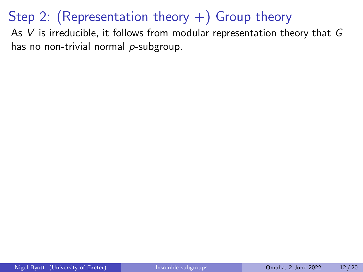As  $V$  is irreducible, it follows from modular representation theory that  $G$ has no non-trivial normal  $p$ -subgroup.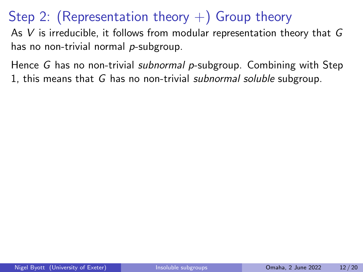As V is irreducible, it follows from modular representation theory that G has no non-trivial normal  $p$ -subgroup.

Hence G has no non-trivial *subnormal p*-subgroup. Combining with Step 1, this means that G has no non-trivial subnormal soluble subgroup.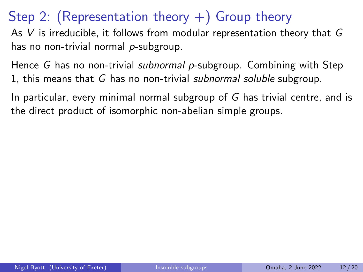As V is irreducible, it follows from modular representation theory that G has no non-trivial normal p-subgroup.

Hence G has no non-trivial *subnormal p*-subgroup. Combining with Step 1, this means that G has no non-trivial subnormal soluble subgroup.

In particular, every minimal normal subgroup of G has trivial centre, and is the direct product of isomorphic non-abelian simple groups.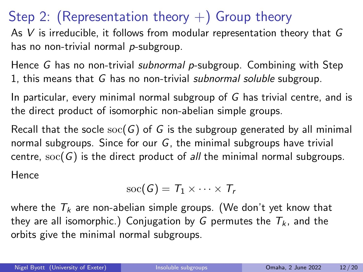As  $V$  is irreducible, it follows from modular representation theory that  $G$ has no non-trivial normal p-subgroup.

Hence G has no non-trivial *subnormal p*-subgroup. Combining with Step 1, this means that G has no non-trivial subnormal soluble subgroup.

In particular, every minimal normal subgroup of G has trivial centre, and is the direct product of isomorphic non-abelian simple groups.

Recall that the socle  $\operatorname{soc}(G)$  of G is the subgroup generated by all minimal normal subgroups. Since for our  $G$ , the minimal subgroups have trivial centre,  $\text{soc}(G)$  is the direct product of all the minimal normal subgroups. Hence

$$
\mathrm{soc}(G)=T_1\times\cdots\times T_r
$$

where the  $T_k$  are non-abelian simple groups. (We don't yet know that they are all isomorphic.) Conjugation by G permutes the  $T_k$ , and the orbits give the minimal normal subgroups.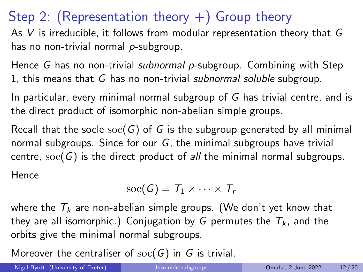As  $V$  is irreducible, it follows from modular representation theory that  $G$ has no non-trivial normal  $p$ -subgroup.

Hence G has no non-trivial *subnormal p*-subgroup. Combining with Step 1, this means that G has no non-trivial subnormal soluble subgroup.

In particular, every minimal normal subgroup of G has trivial centre, and is the direct product of isomorphic non-abelian simple groups.

Recall that the socle  $\operatorname{soc}(G)$  of G is the subgroup generated by all minimal normal subgroups. Since for our  $G$ , the minimal subgroups have trivial centre,  $\operatorname{soc}(G)$  is the direct product of all the minimal normal subgroups. Hence

$$
\mathrm{soc}(G)=T_1\times\cdots\times T_r
$$

where the  $T_k$  are non-abelian simple groups. (We don't yet know that they are all isomorphic.) Conjugation by G permutes the  $T_k$ , and the orbits give the minimal normal subgroups.

Moreover the centraliser of  $\operatorname{soc}(G)$  in G is trivial.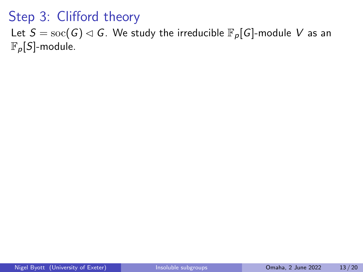Let  $S = \text{soc}(G) \triangleleft G$ . We study the irreducible  $\mathbb{F}_p[G]$ -module V as an  $\mathbb{F}_p[S]$ -module.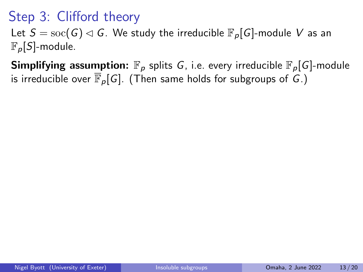Let  $S = \text{soc}(G) \triangleleft G$ . We study the irreducible  $\mathbb{F}_p[G]$ -module V as an  $\mathbb{F}_p[S]$ -module.

**Simplifying assumption:**  $\mathbb{F}_p$  splits G, i.e. every irreducible  $\mathbb{F}_p[G]$ -module is irreducible over  $\overline{\mathbb{F}}_p[G]$ . (Then same holds for subgroups of G.)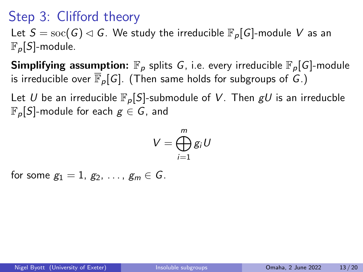Let  $S = \text{soc}(G) \triangleleft G$ . We study the irreducible  $\mathbb{F}_p[G]$ -module V as an  $\mathbb{F}_p[S]$ -module.

**Simplifying assumption:**  $\mathbb{F}_p$  splits G, i.e. every irreducible  $\mathbb{F}_p[G]$ -module is irreducible over  $\overline{\mathbb{F}}_p[G]$ . (Then same holds for subgroups of G.)

Let U be an irreducible  $\mathbb{F}_p[S]$ -submodule of V. Then  $gU$  is an irreducble  $\mathbb{F}_p[S]$ -module for each  $g \in G$ , and

$$
V=\bigoplus_{i=1}^mg_iU
$$

for some  $g_1 = 1, g_2, \ldots, g_m \in G$ .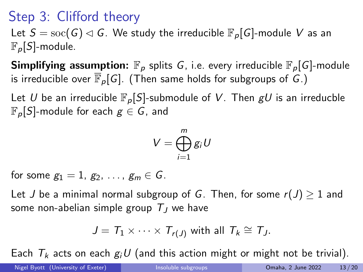Let  $S = \text{soc}(G) \triangleleft G$ . We study the irreducible  $\mathbb{F}_p[G]$ -module V as an  $\mathbb{F}_p[S]$ -module.

**Simplifying assumption:**  $\mathbb{F}_p$  splits G, i.e. every irreducible  $\mathbb{F}_p[G]$ -module is irreducible over  $\overline{\mathbb{F}}_p[G]$ . (Then same holds for subgroups of G.)

Let U be an irreducible  $\mathbb{F}_p[S]$ -submodule of V. Then  $gU$  is an irreducble  $\mathbb{F}_p[S]$ -module for each  $g \in G$ , and

$$
V=\bigoplus_{i=1}^m g_i U
$$

for some  $g_1 = 1$ ,  $g_2, \ldots, g_m \in G$ .

Let J be a minimal normal subgroup of G. Then, for some  $r(J) \geq 1$  and some non-abelian simple group  $T_J$  we have

$$
J = T_1 \times \cdots \times T_{r(J)}
$$
 with all  $T_k \cong T_J$ .

Each  $T_k$  acts on each  $g_iU$  (and this action might or might not be trivial).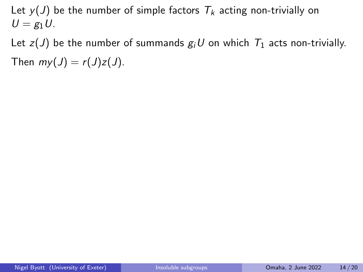Let  $y(J)$  be the number of simple factors  $T_k$  acting non-trivially on  $U = g_1 U$ .

Let  $z(J)$  be the number of summands  $g_iU$  on which  $T_1$  acts non-trivially. Then  $my(J) = r(J)z(J)$ .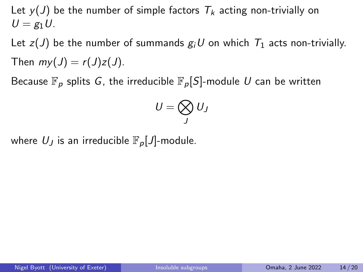Let  $y(J)$  be the number of simple factors  $T_k$  acting non-trivially on  $U = g_1 U$ .

Let  $z(J)$  be the number of summands  $g_iU$  on which  $T_1$  acts non-trivially. Then  $mv(J) = r(J)z(J)$ .

Because  $\mathbb{F}_p$  splits G, the irreducible  $\mathbb{F}_p[S]$ -module U can be written

$$
U=\bigotimes_J U_J
$$

where  $U_J$  is an irreducible  $\mathbb{F}_p[J]$ -module.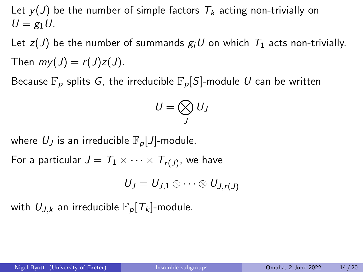Let  $y(J)$  be the number of simple factors  $T_k$  acting non-trivially on  $U = \varrho_1 U$ .

Let  $z(J)$  be the number of summands  $g_iU$  on which  $T_1$  acts non-trivially. Then  $mv(J) = r(J)z(J)$ .

Because  $\mathbb{F}_p$  splits G, the irreducible  $\mathbb{F}_p[S]$ -module U can be written

$$
U=\bigotimes_J U_J
$$

where  $U_J$  is an irreducible  $\mathbb{F}_p[J]$ -module.

For a particular  $J = \mathcal{T}_1 \times \cdots \times \mathcal{T}_{r(J)},$  we have

$$
U_J=U_{J,1}\otimes\cdots\otimes U_{J,r(J)}
$$

with  $U_{J,k}$  an irreducible  $\mathbb{F}_p[T_k]$ -module.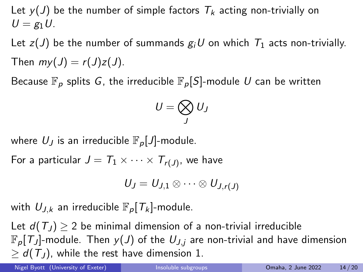Let  $y(J)$  be the number of simple factors  $T_k$  acting non-trivially on  $U = \varrho_1 U$ .

Let  $z(J)$  be the number of summands  $g_iU$  on which  $T_1$  acts non-trivially. Then  $mv(J) = r(J)z(J)$ .

Because  $\mathbb{F}_p$  splits G, the irreducible  $\mathbb{F}_p[S]$ -module U can be written

$$
U=\bigotimes_J U_J
$$

where  $U_J$  is an irreducible  $\mathbb{F}_p[J]$ -module.

For a particular  $J = \mathcal{T}_1 \times \cdots \times \mathcal{T}_{r(J)},$  we have

$$
U_J=U_{J,1}\otimes\cdots\otimes U_{J,r(J)}
$$

with  $U_{J,k}$  an irreducible  $\mathbb{F}_p[T_k]$ -module.

Let  $d(T_1) \geq 2$  be minimal dimension of a non-trivial irreducible  $\mathbb{F}_p[T_J]$ -module. Then  $y(J)$  of the  $U_{J,i}$  are non-trivial and have dimension  $\geq d(T_J)$ , while the rest have dimension 1.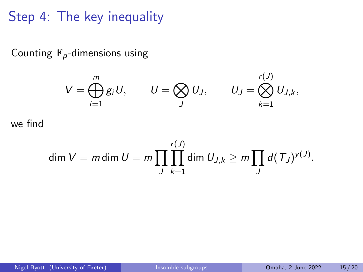Step 4: The key inequality

Counting  $\mathbb{F}_p$ -dimensions using

$$
V = \bigoplus_{i=1}^m g_i U, \qquad U = \bigotimes_J U_J, \qquad U_J = \bigotimes_{k=1}^{r(J)} U_{J,k},
$$

we find

$$
\dim V = m \dim U = m \prod_{J} \prod_{k=1}^{r(J)} \dim U_{J,k} \geq m \prod_{J} d(T_J)^{y(J)}.
$$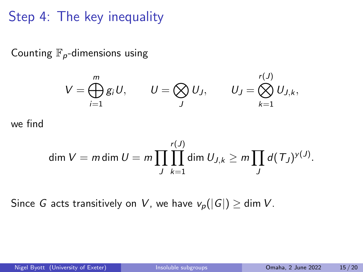Step 4: The key inequality

Counting  $\mathbb{F}_p$ -dimensions using

$$
V = \bigoplus_{i=1}^m g_i U, \qquad U = \bigotimes_J U_J, \qquad U_J = \bigotimes_{k=1}^{r(J)} U_{J,k},
$$

we find

$$
\dim V = m \dim U = m \prod_{J} \prod_{k=1}^{r(J)} \dim U_{J,k} \geq m \prod_{J} d(T_J)^{y(J)}.
$$

Since G acts transitively on V, we have  $v_p(|G|) \ge \dim V$ .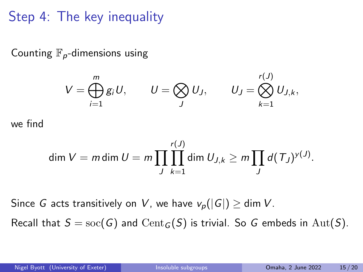Step 4: The key inequality

Counting  $\mathbb{F}_p$ -dimensions using

$$
V = \bigoplus_{i=1}^m g_i U, \qquad U = \bigotimes_J U_J, \qquad U_J = \bigotimes_{k=1}^{r(J)} U_{J,k},
$$

we find

$$
\dim V = m \dim U = m \prod_{J} \prod_{k=1}^{r(J)} \dim U_{J,k} \geq m \prod_{J} d(T_J)^{y(J)}.
$$

Since G acts transitively on V, we have  $v_p(|G|) \ge \dim V$ .

Recall that  $S = \text{soc}(G)$  and  $\text{Cent}_G(S)$  is trivial. So G embeds in  $\text{Aut}(S)$ .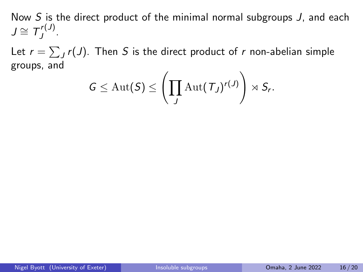Let  $r = \sum_J r(J)$ . Then  $S$  is the direct product of  $r$  non-abelian simple groups, and

$$
G\leq \operatorname{Aut}(S)\leq \left(\prod_J \operatorname{Aut}(\mathcal{T}_J)^{r(J)}\right)\rtimes S_r.
$$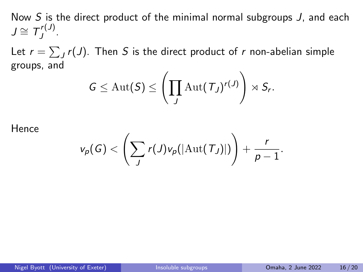Let  $r = \sum_J r(J)$ . Then  $S$  is the direct product of  $r$  non-abelian simple groups, and

$$
G\leq \operatorname{Aut}(S)\leq \left(\prod_J \operatorname{Aut}(T_J)^{r(J)}\right)\rtimes S_r.
$$

Hence

$$
v_p(G) < \left(\sum_J r(J) v_p(|\mathrm{Aut}(\mathcal{T}_J)|)\right) + \frac{r}{p-1}.
$$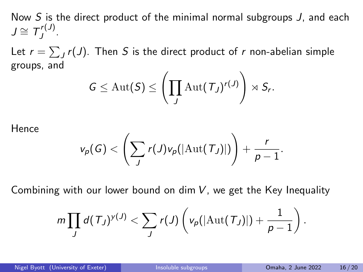Let  $r = \sum_J r(J)$ . Then  $S$  is the direct product of  $r$  non-abelian simple groups, and

$$
G\leq \operatorname{Aut}(S)\leq \left(\prod_J \operatorname{Aut}(T_J)^{r(J)}\right)\rtimes S_r.
$$

Hence

$$
v_p(G) < \left(\sum_j r(J) v_p(|\mathrm{Aut}(T_J)|)\right) + \frac{r}{p-1}.
$$

Combining with our lower bound on dim  $V$ , we get the Key Inequality

$$
m\prod_{J}d(\mathcal{T}_J)^{y(J)} < \sum_{J}r(J)\left(v_p(|\text{Aut}(\mathcal{T}_J)|)+\frac{1}{p-1}\right).
$$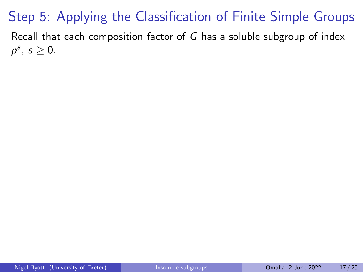# Step 5: Applying the Classification of Finite Simple Groups

Recall that each composition factor of G has a soluble subgroup of index  $p^s, s \geq 0.$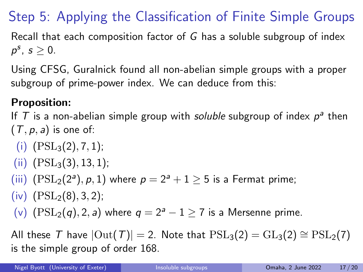# Step 5: Applying the Classification of Finite Simple Groups

Recall that each composition factor of  $G$  has a soluble subgroup of index  $p^s, s \geq 0.$ 

Using CFSG, Guralnick found all non-abelian simple groups with a proper subgroup of prime-power index. We can deduce from this:

#### Proposition:

If T is a non-abelian simple group with soluble subgroup of index  $p^a$  then  $(T, p, a)$  is one of:

- (i)  $(PSL<sub>3</sub>(2), 7, 1);$
- $(iii)$   $(PSL<sub>3</sub>(3), 13, 1);$
- (iii)  $(PSL_2(2^a), p, 1)$  where  $p = 2^a + 1 \ge 5$  is a Fermat prime;
- $(iv)$   $(PSL<sub>2</sub>(8), 3, 2);$
- (v)  $(PSL_2(q), 2, a)$  where  $q = 2^a 1 \ge 7$  is a Mersenne prime.

All these T have  $|\text{Out}(T)| = 2$ . Note that  $PSL_3(2) = GL_3(2) \cong PSL_2(7)$ is the simple group of order 168.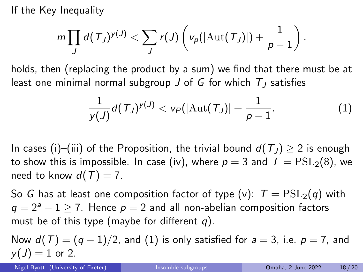If the Key Inequality

$$
m\prod_{J}d(\mathcal{T}_J)^{y(J)} < \sum_{J}r(J)\left(v_p(|\text{Aut}(\mathcal{T}_J)|)+\frac{1}{p-1}\right).
$$

holds, then (replacing the product by a sum) we find that there must be at least one minimal normal subgroup J of G for which  $T<sub>I</sub>$  satisfies

<span id="page-54-0"></span>
$$
\frac{1}{y(J)}d(T_J)^{y(J)} < v_P(|\text{Aut}(T_J)| + \frac{1}{p-1}.
$$
 (1)

In cases (i)–(iii) of the Proposition, the trivial bound  $d(T_J) \geq 2$  is enough to show this is impossible. In case (iv), where  $p = 3$  and  $T = \text{PSL}_2(8)$ , we need to know  $d(T) = 7$ .

So G has at least one composition factor of type (v):  $T = \text{PSL}_2(q)$  with  $q = 2^a - 1 \ge 7$ . Hence  $p = 2$  and all non-abelian composition factors must be of this type (maybe for different  $q$ ).

Now  $d(T) = (q-1)/2$ , and [\(1\)](#page-54-0) is only satisfied for  $a = 3$ , i.e.  $p = 7$ , and  $y(J) = 1$  or 2.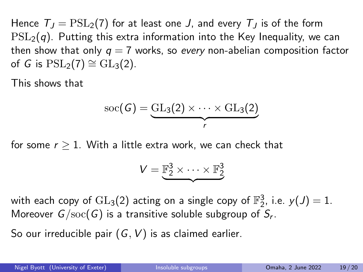Hence  $T_1 = \text{PSL}_2(7)$  for at least one J, and every  $T_1$  is of the form  $PSL<sub>2</sub>(q)$ . Putting this extra information into the Key Inequality, we can then show that only  $q = 7$  works, so every non-abelian composition factor of G is  $PSL_2(7) \cong GL_3(2)$ .

This shows that

$$
\operatorname{soc}(G) = \underbrace{\operatorname{GL}_3(2) \times \cdots \times \operatorname{GL}_3(2)}_{r}
$$

for some  $r > 1$ . With a little extra work, we can check that

$$
V = \underbrace{\mathbb{F}_2^3 \times \cdots \times \mathbb{F}_2^3}
$$

with each copy of  $\operatorname{GL}_3(2)$  acting on a single copy of  $\mathbb{F}_2^3$ , i.e.  $\mathcal{y}(J)=1$ . Moreover  $G/\mathrm{soc}(G)$  is a transitive soluble subgroup of  $\mathcal{S}_r.$ 

So our irreducible pair  $(G, V)$  is as claimed earlier.